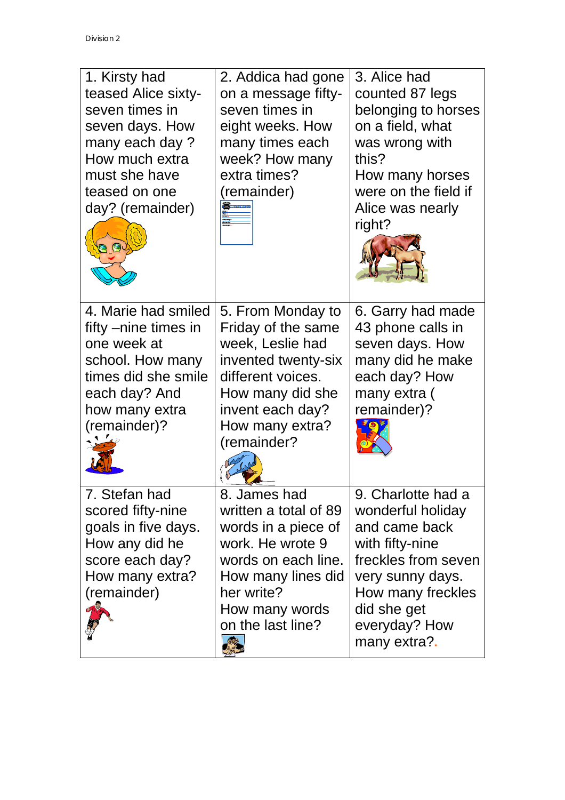| 1. Kirsty had<br>teased Alice sixty-<br>seven times in<br>seven days. How<br>many each day?<br>How much extra<br>must she have<br>teased on one<br>day? (remainder) | 2. Addica had gone<br>on a message fifty-<br>seven times in<br>eight weeks. How<br>many times each<br>week? How many<br>extra times?<br>(remainder)<br><b>The Winds You We</b>     | 3. Alice had<br>counted 87 legs<br>belonging to horses<br>on a field, what<br>was wrong with<br>this?<br>How many horses<br>were on the field if<br>Alice was nearly<br>right?              |
|---------------------------------------------------------------------------------------------------------------------------------------------------------------------|------------------------------------------------------------------------------------------------------------------------------------------------------------------------------------|---------------------------------------------------------------------------------------------------------------------------------------------------------------------------------------------|
| 4. Marie had smiled<br>fifty –nine times in<br>one week at<br>school. How many<br>times did she smile<br>each day? And<br>how many extra<br>(remainder)?            | 5. From Monday to<br>Friday of the same<br>week, Leslie had<br>invented twenty-six<br>different voices.<br>How many did she<br>invent each day?<br>How many extra?<br>(remainder?  | 6. Garry had made<br>43 phone calls in<br>seven days. How<br>many did he make<br>each day? How<br>many extra (<br>remainder)?                                                               |
| 7. Stefan had<br>scored fifty-nine<br>goals in five days.<br>How any did he<br>score each day?<br>How many extra?<br>(remainder)                                    | 8. James had<br>written a total of 89<br>words in a piece of<br>work. He wrote 9<br>words on each line.<br>How many lines did<br>her write?<br>How many words<br>on the last line? | 9. Charlotte had a<br>wonderful holiday<br>and came back<br>with fifty-nine<br>freckles from seven<br>very sunny days.<br>How many freckles<br>did she get<br>everyday? How<br>many extra?. |